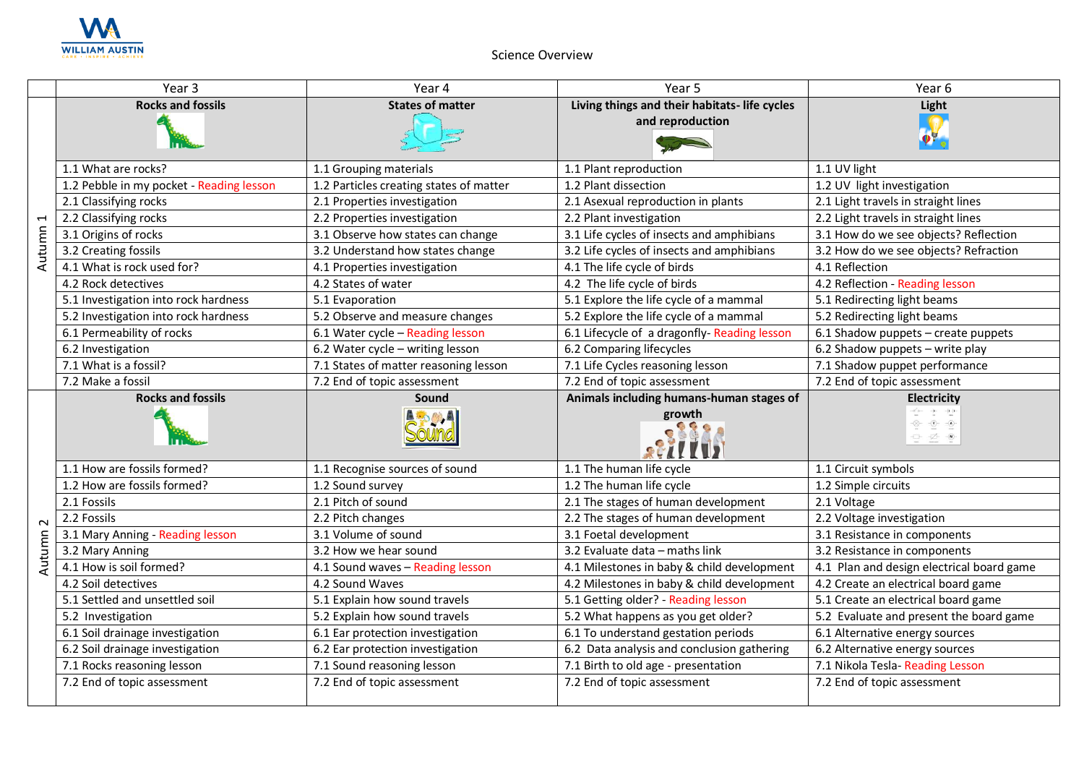

## Science Overview

|          | Year 3                                   | Year 4                                  | Year 5                                                            | Year <sub>6</sub>                                                                                                                                                                                                                                                                                                                                                                                                                                                                                                                                                                                                                                                     |
|----------|------------------------------------------|-----------------------------------------|-------------------------------------------------------------------|-----------------------------------------------------------------------------------------------------------------------------------------------------------------------------------------------------------------------------------------------------------------------------------------------------------------------------------------------------------------------------------------------------------------------------------------------------------------------------------------------------------------------------------------------------------------------------------------------------------------------------------------------------------------------|
|          | <b>Rocks and fossils</b>                 | <b>States of matter</b>                 | Living things and their habitats- life cycles<br>and reproduction | Light                                                                                                                                                                                                                                                                                                                                                                                                                                                                                                                                                                                                                                                                 |
|          | 1.1 What are rocks?                      | 1.1 Grouping materials                  | 1.1 Plant reproduction                                            | 1.1 UV light                                                                                                                                                                                                                                                                                                                                                                                                                                                                                                                                                                                                                                                          |
|          | 1.2 Pebble in my pocket - Reading lesson | 1.2 Particles creating states of matter | 1.2 Plant dissection                                              | 1.2 UV light investigation                                                                                                                                                                                                                                                                                                                                                                                                                                                                                                                                                                                                                                            |
|          | 2.1 Classifying rocks                    | 2.1 Properties investigation            | 2.1 Asexual reproduction in plants                                | 2.1 Light travels in straight lines                                                                                                                                                                                                                                                                                                                                                                                                                                                                                                                                                                                                                                   |
|          | 2.2 Classifying rocks                    | 2.2 Properties investigation            | 2.2 Plant investigation                                           | 2.2 Light travels in straight lines                                                                                                                                                                                                                                                                                                                                                                                                                                                                                                                                                                                                                                   |
| Autumn 1 | 3.1 Origins of rocks                     | 3.1 Observe how states can change       | 3.1 Life cycles of insects and amphibians                         | 3.1 How do we see objects? Reflection                                                                                                                                                                                                                                                                                                                                                                                                                                                                                                                                                                                                                                 |
|          | 3.2 Creating fossils                     | 3.2 Understand how states change        | 3.2 Life cycles of insects and amphibians                         | 3.2 How do we see objects? Refraction                                                                                                                                                                                                                                                                                                                                                                                                                                                                                                                                                                                                                                 |
|          | 4.1 What is rock used for?               | 4.1 Properties investigation            | 4.1 The life cycle of birds                                       | 4.1 Reflection                                                                                                                                                                                                                                                                                                                                                                                                                                                                                                                                                                                                                                                        |
|          | 4.2 Rock detectives                      | 4.2 States of water                     | 4.2 The life cycle of birds                                       | 4.2 Reflection - Reading lesson                                                                                                                                                                                                                                                                                                                                                                                                                                                                                                                                                                                                                                       |
|          | 5.1 Investigation into rock hardness     | 5.1 Evaporation                         | 5.1 Explore the life cycle of a mammal                            | 5.1 Redirecting light beams                                                                                                                                                                                                                                                                                                                                                                                                                                                                                                                                                                                                                                           |
|          | 5.2 Investigation into rock hardness     | 5.2 Observe and measure changes         | 5.2 Explore the life cycle of a mammal                            | 5.2 Redirecting light beams                                                                                                                                                                                                                                                                                                                                                                                                                                                                                                                                                                                                                                           |
|          | 6.1 Permeability of rocks                | 6.1 Water cycle - Reading lesson        | 6.1 Lifecycle of a dragonfly-Reading lesson                       | 6.1 Shadow puppets - create puppets                                                                                                                                                                                                                                                                                                                                                                                                                                                                                                                                                                                                                                   |
|          | 6.2 Investigation                        | 6.2 Water cycle - writing lesson        | 6.2 Comparing lifecycles                                          | 6.2 Shadow puppets - write play                                                                                                                                                                                                                                                                                                                                                                                                                                                                                                                                                                                                                                       |
|          | 7.1 What is a fossil?                    | 7.1 States of matter reasoning lesson   | 7.1 Life Cycles reasoning lesson                                  | 7.1 Shadow puppet performance                                                                                                                                                                                                                                                                                                                                                                                                                                                                                                                                                                                                                                         |
|          | 7.2 Make a fossil                        | 7.2 End of topic assessment             | 7.2 End of topic assessment                                       | 7.2 End of topic assessment                                                                                                                                                                                                                                                                                                                                                                                                                                                                                                                                                                                                                                           |
|          |                                          |                                         |                                                                   |                                                                                                                                                                                                                                                                                                                                                                                                                                                                                                                                                                                                                                                                       |
|          | <b>Rocks and fossils</b>                 | Sound                                   | Animals including humans-human stages of<br>growth                | Electricity<br>$\begin{array}{ccc} -\sigma' \phi - & - \mathbf{1}-\cdots - \mathbf{1}-\mathbf{1}-\cdots   \end{array}$<br>$\begin{picture}(20,5) \put(0,0){\line(1,0){10}} \put(15,0){\line(1,0){10}} \put(15,0){\line(1,0){10}} \put(15,0){\line(1,0){10}} \put(15,0){\line(1,0){10}} \put(15,0){\line(1,0){10}} \put(15,0){\line(1,0){10}} \put(15,0){\line(1,0){10}} \put(15,0){\line(1,0){10}} \put(15,0){\line(1,0){10}} \put(15,0){\line(1,0){10}} \put(15,0){\line(1,$<br>$\begin{tabular}{ll} $\displaystyle\bigoplus_{\alpha\in\mathbb{Z}}$ & $\displaystyle\bigoplus_{\alpha\in\mathbb{Z}}$ & $\displaystyle\bigoplus_{\alpha\in\mathbb{Z}}$ \end{tabular}$ |
|          | 1.1 How are fossils formed?              | 1.1 Recognise sources of sound          | 1.1 The human life cycle                                          | 1.1 Circuit symbols                                                                                                                                                                                                                                                                                                                                                                                                                                                                                                                                                                                                                                                   |
|          | 1.2 How are fossils formed?              | 1.2 Sound survey                        | 1.2 The human life cycle                                          | 1.2 Simple circuits                                                                                                                                                                                                                                                                                                                                                                                                                                                                                                                                                                                                                                                   |
|          | 2.1 Fossils                              | 2.1 Pitch of sound                      | 2.1 The stages of human development                               | 2.1 Voltage                                                                                                                                                                                                                                                                                                                                                                                                                                                                                                                                                                                                                                                           |
| $\sim$   | 2.2 Fossils                              | 2.2 Pitch changes                       | 2.2 The stages of human development                               | 2.2 Voltage investigation                                                                                                                                                                                                                                                                                                                                                                                                                                                                                                                                                                                                                                             |
|          | 3.1 Mary Anning - Reading lesson         | 3.1 Volume of sound                     | 3.1 Foetal development                                            | 3.1 Resistance in components                                                                                                                                                                                                                                                                                                                                                                                                                                                                                                                                                                                                                                          |
|          | 3.2 Mary Anning                          | 3.2 How we hear sound                   | 3.2 Evaluate data - maths link                                    | 3.2 Resistance in components                                                                                                                                                                                                                                                                                                                                                                                                                                                                                                                                                                                                                                          |
| Autumn   | 4.1 How is soil formed?                  | 4.1 Sound waves - Reading lesson        | 4.1 Milestones in baby & child development                        | 4.1 Plan and design electrical board game                                                                                                                                                                                                                                                                                                                                                                                                                                                                                                                                                                                                                             |
|          | 4.2 Soil detectives                      | 4.2 Sound Waves                         | 4.2 Milestones in baby & child development                        | 4.2 Create an electrical board game                                                                                                                                                                                                                                                                                                                                                                                                                                                                                                                                                                                                                                   |
|          | 5.1 Settled and unsettled soil           | 5.1 Explain how sound travels           | 5.1 Getting older? - Reading lesson                               | 5.1 Create an electrical board game                                                                                                                                                                                                                                                                                                                                                                                                                                                                                                                                                                                                                                   |
|          | 5.2 Investigation                        | 5.2 Explain how sound travels           | 5.2 What happens as you get older?                                | 5.2 Evaluate and present the board game                                                                                                                                                                                                                                                                                                                                                                                                                                                                                                                                                                                                                               |
|          | 6.1 Soil drainage investigation          | 6.1 Ear protection investigation        | 6.1 To understand gestation periods                               | 6.1 Alternative energy sources                                                                                                                                                                                                                                                                                                                                                                                                                                                                                                                                                                                                                                        |
|          | 6.2 Soil drainage investigation          | 6.2 Ear protection investigation        | 6.2 Data analysis and conclusion gathering                        | 6.2 Alternative energy sources                                                                                                                                                                                                                                                                                                                                                                                                                                                                                                                                                                                                                                        |
|          | 7.1 Rocks reasoning lesson               | 7.1 Sound reasoning lesson              | 7.1 Birth to old age - presentation                               | 7.1 Nikola Tesla- Reading Lesson                                                                                                                                                                                                                                                                                                                                                                                                                                                                                                                                                                                                                                      |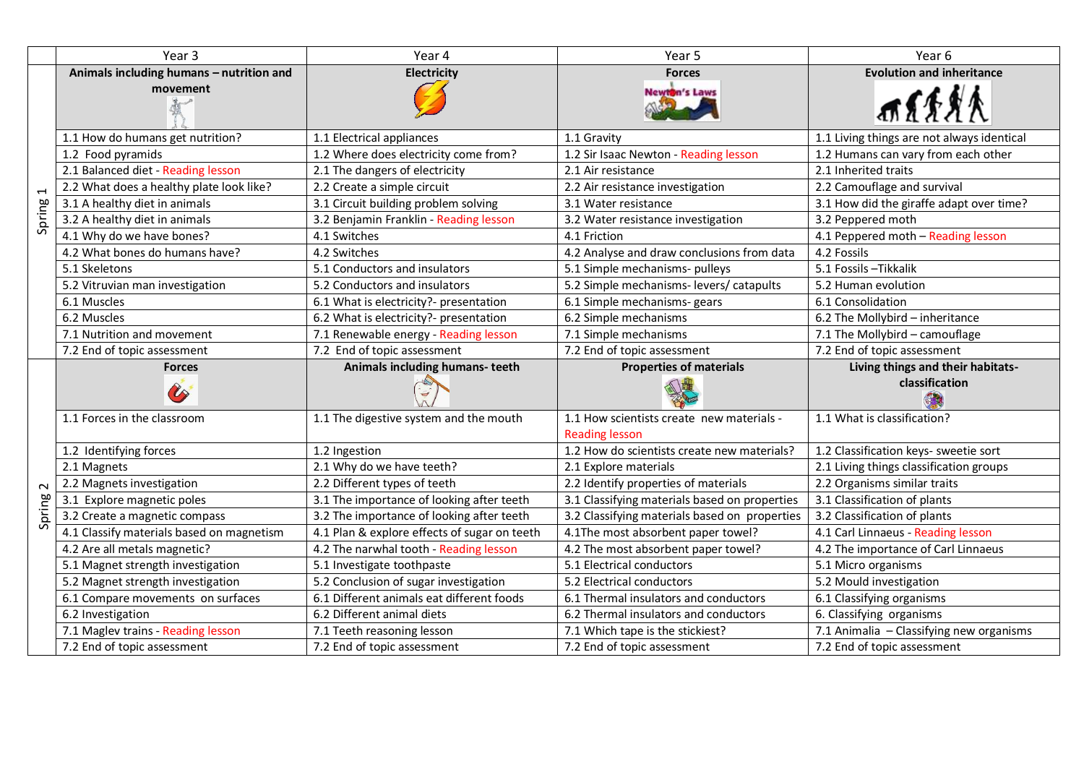|                                    | Year 3                                                            | Year 4                                                    | Year 5                                                             | Year 6                                                                  |
|------------------------------------|-------------------------------------------------------------------|-----------------------------------------------------------|--------------------------------------------------------------------|-------------------------------------------------------------------------|
| $\overline{\phantom{0}}$<br>Spring | Animals including humans - nutrition and                          | Electricity                                               | <b>Forces</b>                                                      | <b>Evolution and inheritance</b>                                        |
|                                    | movement                                                          |                                                           | <b>Newton's Laws</b>                                               | 而不乐界人                                                                   |
|                                    | 1.1 How do humans get nutrition?                                  | 1.1 Electrical appliances                                 | 1.1 Gravity                                                        | 1.1 Living things are not always identical                              |
|                                    | 1.2 Food pyramids                                                 | 1.2 Where does electricity come from?                     | 1.2 Sir Isaac Newton - Reading lesson                              | 1.2 Humans can vary from each other                                     |
|                                    | 2.1 Balanced diet - Reading lesson                                | 2.1 The dangers of electricity                            | 2.1 Air resistance                                                 | 2.1 Inherited traits                                                    |
|                                    | 2.2 What does a healthy plate look like?                          | 2.2 Create a simple circuit                               | 2.2 Air resistance investigation                                   | 2.2 Camouflage and survival                                             |
|                                    | 3.1 A healthy diet in animals                                     | 3.1 Circuit building problem solving                      | 3.1 Water resistance                                               | 3.1 How did the giraffe adapt over time?                                |
|                                    | 3.2 A healthy diet in animals                                     | 3.2 Benjamin Franklin - Reading lesson                    | 3.2 Water resistance investigation                                 | 3.2 Peppered moth                                                       |
|                                    | 4.1 Why do we have bones?                                         | 4.1 Switches                                              | 4.1 Friction                                                       | 4.1 Peppered moth - Reading lesson                                      |
|                                    | 4.2 What bones do humans have?                                    | 4.2 Switches                                              | 4.2 Analyse and draw conclusions from data                         | 4.2 Fossils                                                             |
|                                    | 5.1 Skeletons                                                     | 5.1 Conductors and insulators                             | 5.1 Simple mechanisms- pulleys                                     | 5.1 Fossils - Tikkalik                                                  |
|                                    | 5.2 Vitruvian man investigation                                   | 5.2 Conductors and insulators                             | 5.2 Simple mechanisms-levers/catapults                             | 5.2 Human evolution                                                     |
|                                    | 6.1 Muscles                                                       | 6.1 What is electricity?- presentation                    | 6.1 Simple mechanisms- gears                                       | 6.1 Consolidation                                                       |
|                                    | 6.2 Muscles                                                       | 6.2 What is electricity?- presentation                    | 6.2 Simple mechanisms                                              | 6.2 The Mollybird - inheritance                                         |
|                                    | 7.1 Nutrition and movement                                        | 7.1 Renewable energy - Reading lesson                     | 7.1 Simple mechanisms                                              | 7.1 The Mollybird - camouflage                                          |
|                                    | 7.2 End of topic assessment                                       | 7.2 End of topic assessment                               | 7.2 End of topic assessment                                        | 7.2 End of topic assessment                                             |
|                                    |                                                                   |                                                           |                                                                    |                                                                         |
|                                    | <b>Forces</b>                                                     | Animals including humans-teeth                            | <b>Properties of materials</b>                                     | Living things and their habitats-                                       |
|                                    | $\hat{\mathscr{C}}$                                               |                                                           |                                                                    | classification                                                          |
|                                    | 1.1 Forces in the classroom                                       | 1.1 The digestive system and the mouth                    | 1.1 How scientists create new materials -<br><b>Reading lesson</b> | 1.1 What is classification?                                             |
|                                    | 1.2 Identifying forces                                            | 1.2 Ingestion                                             | 1.2 How do scientists create new materials?                        | 1.2 Classification keys- sweetie sort                                   |
|                                    | 2.1 Magnets                                                       | 2.1 Why do we have teeth?                                 | 2.1 Explore materials                                              | 2.1 Living things classification groups                                 |
| $\sim$                             | 2.2 Magnets investigation                                         | 2.2 Different types of teeth                              | 2.2 Identify properties of materials                               | 2.2 Organisms similar traits                                            |
|                                    | 3.1 Explore magnetic poles                                        | 3.1 The importance of looking after teeth                 | 3.1 Classifying materials based on properties                      | 3.1 Classification of plants                                            |
|                                    | 3.2 Create a magnetic compass                                     | 3.2 The importance of looking after teeth                 | 3.2 Classifying materials based on properties                      | 3.2 Classification of plants                                            |
| Spring                             | 4.1 Classify materials based on magnetism                         | 4.1 Plan & explore effects of sugar on teeth              | 4.1The most absorbent paper towel?                                 | 4.1 Carl Linnaeus - Reading lesson                                      |
|                                    | 4.2 Are all metals magnetic?                                      | 4.2 The narwhal tooth - Reading lesson                    | 4.2 The most absorbent paper towel?                                | 4.2 The importance of Carl Linnaeus                                     |
|                                    | 5.1 Magnet strength investigation                                 | 5.1 Investigate toothpaste                                | 5.1 Electrical conductors                                          | 5.1 Micro organisms                                                     |
|                                    | 5.2 Magnet strength investigation                                 | 5.2 Conclusion of sugar investigation                     | 5.2 Electrical conductors                                          | 5.2 Mould investigation                                                 |
|                                    | 6.1 Compare movements on surfaces                                 | 6.1 Different animals eat different foods                 | 6.1 Thermal insulators and conductors                              | 6.1 Classifying organisms                                               |
|                                    | 6.2 Investigation                                                 | 6.2 Different animal diets                                | 6.2 Thermal insulators and conductors                              | 6. Classifying organisms                                                |
|                                    | 7.1 Maglev trains - Reading lesson<br>7.2 End of topic assessment | 7.1 Teeth reasoning lesson<br>7.2 End of topic assessment | 7.1 Which tape is the stickiest?<br>7.2 End of topic assessment    | 7.1 Animalia - Classifying new organisms<br>7.2 End of topic assessment |